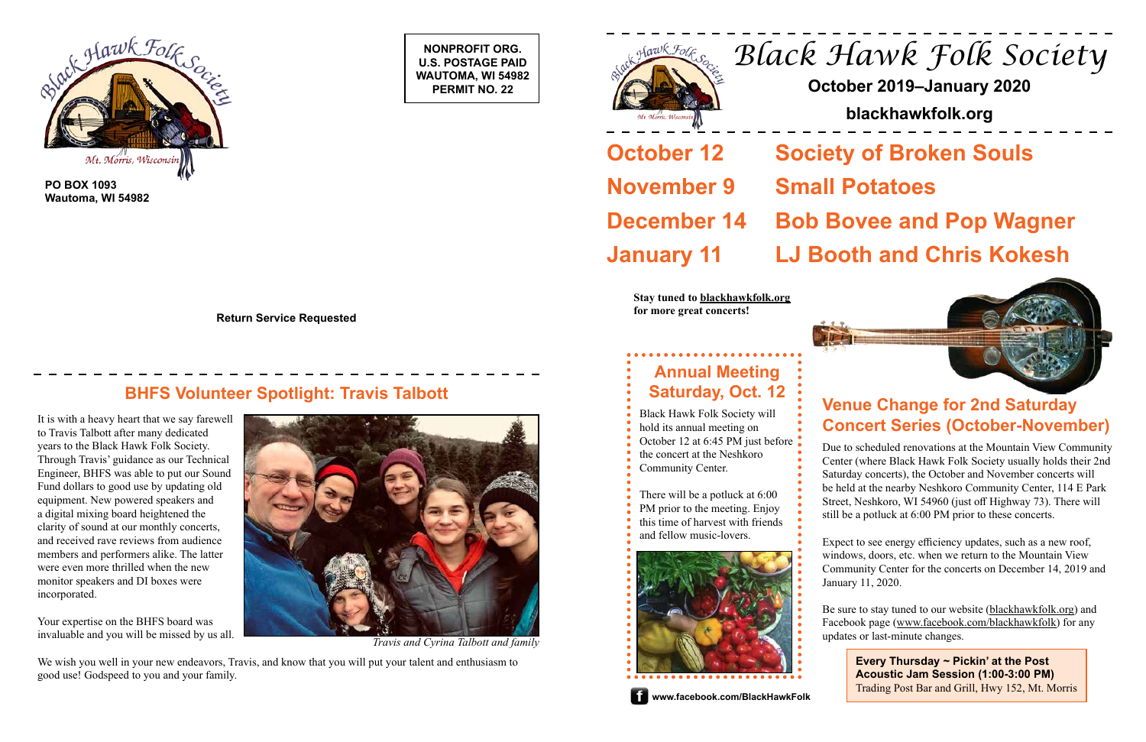**NONPROFIT ORG. U.S. POSTAGE PAID WAUTOMA, WI 54982 PERMIT NO. 22**





**PO BOX 1093 Wautoma, WI 54982**

**Return Service Requested**

# **BHFS Volunteer Spotlight: Travis Talbott Venue Change for 2nd Saturday and Saturday in the U.S. Contract of Change for 2nd Saturday in the U.S. Contract of Change for 2nd Saturday**

# *Black Hawk Folk Society*

### **October 2019–January 2020**

### **blackhawkfolk.org**

## **October 12 Society of Broken Souls**

**November 9 Small Potatoes**

# **December 14 Bob Bovee and Pop Wagner**

**January 11 LJ Booth and Chris Kokesh**

# **Concert Series (October-November)**

Due to scheduled renovations at the Mountain View Community Center (where Black Hawk Folk Society usually holds their 2nd Saturday concerts), the October and November concerts will be held at the nearby Neshkoro Community Center, 114 E Park Street, Neshkoro, WI 54960 (just off Highway 73). There will still be a potluck at 6:00 PM prior to these concerts.

Expect to see energy efficiency updates, such as a new roof, windows, doors, etc. when we return to the Mountain View Community Center for the concerts on December 14, 2019 and January 11, 2020.

Be sure to stay tuned to our website ([blackhawkfolk.org](https://blackhawkfolk.org)) and Facebook page ([www.facebook.com/blackhawkfolk](http://www.facebook.com/BlackHawkFolk)) for any

Black Hawk Folk Society will hold its annual meeting on October 12 at 6:45 PM just before



**Stay tuned to blackhawkfolk.org for more great concerts!**



It is with a heavy heart that we say farewell to Travis Talbott after many dedicated years to the Black Hawk Folk Society. Through Travis' guidance as our Technical Engineer, BHFS was able to put our Sound Fund dollars to good use by updating old equipment. New powered speakers and a digital mixing board heightened the clarity of sound at our monthly concerts, and received rave reviews from audience members and performers alike. The latter were even more thrilled when the new monitor speakers and DI boxes were incorporated.

Your expertise on the BHFS board was invaluable and you will be missed by us all.



We wish you well in your new endeavors, Travis, and know that you will put your talent and enthusiasm to good use! Godspeed to you and your family.

**Every Thursday ~ Pickin' at the Post Acoustic Jam Session (1:00-3:00 PM)** Trading Post Bar and Grill, Hwy 152, Mt. Morris

## **Annual Meeting Saturday, Oct. 12**

- the concert at the Neshkoro
- and fellow music-lovers.



- Community Center.
- There will be a potluck at 6:00 PM prior to the meeting. Enjoy this time of harvest with friends

#### **WWW.facebook.com/BlackHawkFolk**